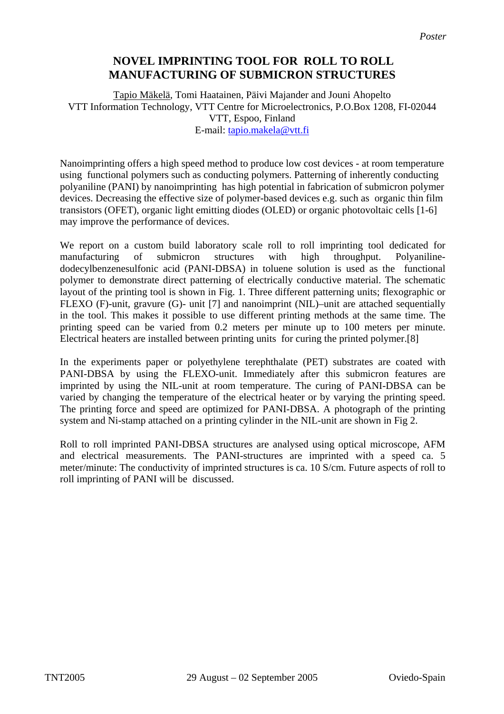## **NOVEL IMPRINTING TOOL FOR ROLL TO ROLL MANUFACTURING OF SUBMICRON STRUCTURES**

Tapio Mäkelä, Tomi Haatainen, Päivi Majander and Jouni Ahopelto VTT Information Technology, VTT Centre for Microelectronics, P.O.Box 1208, FI-02044 VTT, Espoo, Finland E-mail: [tapio.makela@vtt.fi](mailto:tapio.makela@vtt.fi)

Nanoimprinting offers a high speed method to produce low cost devices - at room temperature using functional polymers such as conducting polymers. Patterning of inherently conducting polyaniline (PANI) by nanoimprinting has high potential in fabrication of submicron polymer devices. Decreasing the effective size of polymer-based devices e.g. such as organic thin film transistors (OFET), organic light emitting diodes (OLED) or organic photovoltaic cells [1-6] may improve the performance of devices.

We report on a custom build laboratory scale roll to roll imprinting tool dedicated for manufacturing of submicron structures with high throughput. Polyanilinedodecylbenzenesulfonic acid (PANI-DBSA) in toluene solution is used as the functional polymer to demonstrate direct patterning of electrically conductive material. The schematic layout of the printing tool is shown in Fig. 1. Three different patterning units; flexographic or FLEXO (F)-unit, gravure (G)- unit [7] and nanoimprint (NIL)–unit are attached sequentially in the tool. This makes it possible to use different printing methods at the same time. The printing speed can be varied from 0.2 meters per minute up to 100 meters per minute. Electrical heaters are installed between printing units for curing the printed polymer.[8]

In the experiments paper or polyethylene terephthalate (PET) substrates are coated with PANI-DBSA by using the FLEXO-unit. Immediately after this submicron features are imprinted by using the NIL-unit at room temperature. The curing of PANI-DBSA can be varied by changing the temperature of the electrical heater or by varying the printing speed. The printing force and speed are optimized for PANI-DBSA. A photograph of the printing system and Ni-stamp attached on a printing cylinder in the NIL-unit are shown in Fig 2.

Roll to roll imprinted PANI-DBSA structures are analysed using optical microscope, AFM and electrical measurements. The PANI-structures are imprinted with a speed ca. 5 meter/minute: The conductivity of imprinted structures is ca. 10 S/cm. Future aspects of roll to roll imprinting of PANI will be discussed.